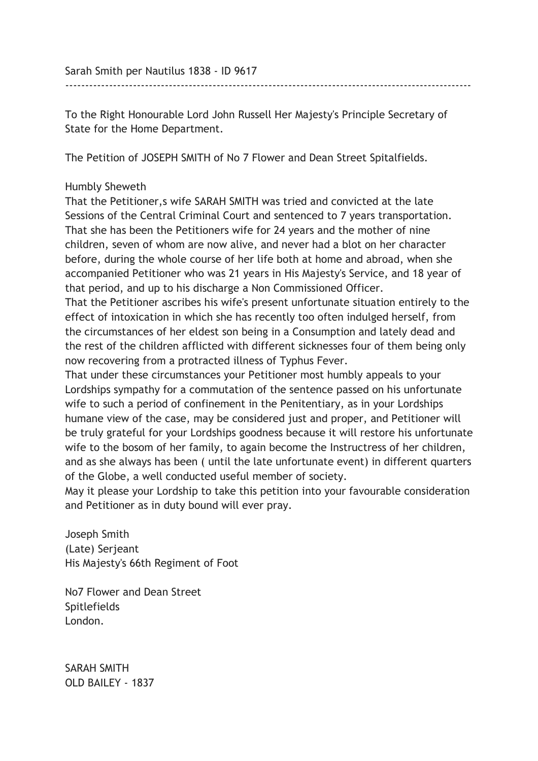Sarah Smith per Nautilus 1838 - ID 9617

To the Right Honourable Lord John Russell Her Majesty's Principle Secretary of State for the Home Department.

------------------------------------------------------------------------------------------------------

The Petition of JOSEPH SMITH of No 7 Flower and Dean Street Spitalfields.

## Humbly Sheweth

That the Petitioner,s wife SARAH SMITH was tried and convicted at the late Sessions of the Central Criminal Court and sentenced to 7 years transportation. That she has been the Petitioners wife for 24 years and the mother of nine children, seven of whom are now alive, and never had a blot on her character before, during the whole course of her life both at home and abroad, when she accompanied Petitioner who was 21 years in His Majesty's Service, and 18 year of that period, and up to his discharge a Non Commissioned Officer.

That the Petitioner ascribes his wife's present unfortunate situation entirely to the effect of intoxication in which she has recently too often indulged herself, from the circumstances of her eldest son being in a Consumption and lately dead and the rest of the children afflicted with different sicknesses four of them being only now recovering from a protracted illness of Typhus Fever.

That under these circumstances your Petitioner most humbly appeals to your Lordships sympathy for a commutation of the sentence passed on his unfortunate wife to such a period of confinement in the Penitentiary, as in your Lordships humane view of the case, may be considered just and proper, and Petitioner will be truly grateful for your Lordships goodness because it will restore his unfortunate wife to the bosom of her family, to again become the Instructress of her children, and as she always has been ( until the late unfortunate event) in different quarters of the Globe, a well conducted useful member of society.

May it please your Lordship to take this petition into your favourable consideration and Petitioner as in duty bound will ever pray.

Joseph Smith (Late) Serjeant His Majesty's 66th Regiment of Foot

No7 Flower and Dean Street Spitlefields London.

SARAH SMITH OLD BAILEY - 1837